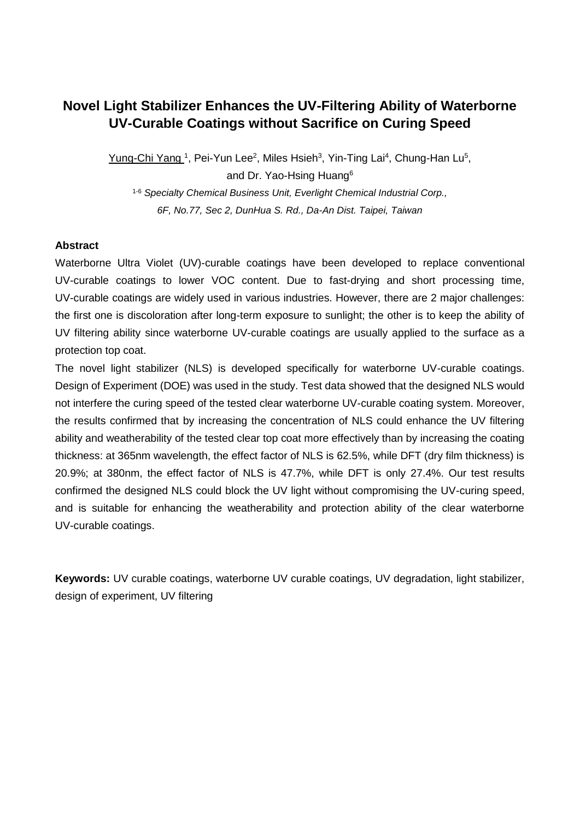# **Novel Light Stabilizer Enhances the UV-Filtering Ability of Waterborne UV-Curable Coatings without Sacrifice on Curing Speed**

Yung-Chi Yang <sup>1</sup>, Pei-Yun Lee<sup>2</sup>, Miles Hsieh<sup>3</sup>, Yin-Ting Lai<sup>4</sup>, Chung-Han Lu<sup>5</sup>,

and Dr. Yao-Hsing Huang<sup>6</sup>

1-6 *Specialty Chemical Business Unit, Everlight Chemical Industrial Corp., 6F, No.77, Sec 2, DunHua S. Rd., Da-An Dist. Taipei, Taiwan* 

## **Abstract**

Waterborne Ultra Violet (UV)-curable coatings have been developed to replace conventional UV-curable coatings to lower VOC content. Due to fast-drying and short processing time, UV-curable coatings are widely used in various industries. However, there are 2 major challenges: the first one is discoloration after long-term exposure to sunlight; the other is to keep the ability of UV filtering ability since waterborne UV-curable coatings are usually applied to the surface as a protection top coat.

The novel light stabilizer (NLS) is developed specifically for waterborne UV-curable coatings. Design of Experiment (DOE) was used in the study. Test data showed that the designed NLS would not interfere the curing speed of the tested clear waterborne UV-curable coating system. Moreover, the results confirmed that by increasing the concentration of NLS could enhance the UV filtering ability and weatherability of the tested clear top coat more effectively than by increasing the coating thickness: at 365nm wavelength, the effect factor of NLS is 62.5%, while DFT (dry film thickness) is 20.9%; at 380nm, the effect factor of NLS is 47.7%, while DFT is only 27.4%. Our test results confirmed the designed NLS could block the UV light without compromising the UV-curing speed, and is suitable for enhancing the weatherability and protection ability of the clear waterborne UV-curable coatings.

**Keywords:** UV curable coatings, waterborne UV curable coatings, UV degradation, light stabilizer, design of experiment, UV filtering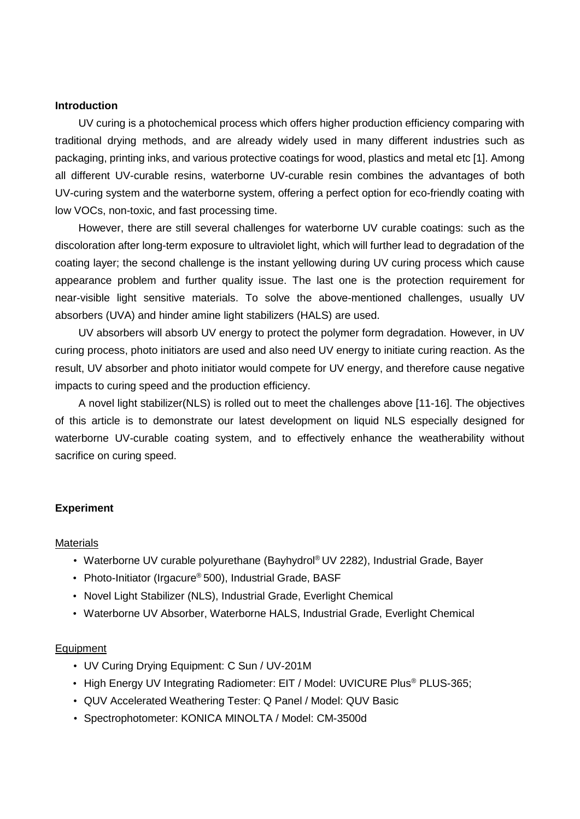#### **Introduction**

UV curing is a photochemical process which offers higher production efficiency comparing with traditional drying methods, and are already widely used in many different industries such as packaging, printing inks, and various protective coatings for wood, plastics and metal etc [1]. Among all different UV-curable resins, waterborne UV-curable resin combines the advantages of both UV-curing system and the waterborne system, offering a perfect option for eco-friendly coating with low VOCs, non-toxic, and fast processing time.

However, there are still several challenges for waterborne UV curable coatings: such as the discoloration after long-term exposure to ultraviolet light, which will further lead to degradation of the coating layer; the second challenge is the instant yellowing during UV curing process which cause appearance problem and further quality issue. The last one is the protection requirement for near-visible light sensitive materials. To solve the above-mentioned challenges, usually UV absorbers (UVA) and hinder amine light stabilizers (HALS) are used.

UV absorbers will absorb UV energy to protect the polymer form degradation. However, in UV curing process, photo initiators are used and also need UV energy to initiate curing reaction. As the result, UV absorber and photo initiator would compete for UV energy, and therefore cause negative impacts to curing speed and the production efficiency.

A novel light stabilizer(NLS) is rolled out to meet the challenges above [11-16]. The objectives of this article is to demonstrate our latest development on liquid NLS especially designed for waterborne UV-curable coating system, and to effectively enhance the weatherability without sacrifice on curing speed.

#### **Experiment**

#### Materials

- Waterborne UV curable polyurethane (Bayhydrol® UV 2282), Industrial Grade, Bayer
- Photo-Initiator (Irgacure® 500), Industrial Grade, BASF
- Novel Light Stabilizer (NLS), Industrial Grade, Everlight Chemical
- Waterborne UV Absorber, Waterborne HALS, Industrial Grade, Everlight Chemical

#### Equipment

- UV Curing Drying Equipment: C Sun / UV-201M
- High Energy UV Integrating Radiometer: EIT / Model: UVICURE Plus<sup>®</sup> PLUS-365;
- QUV Accelerated Weathering Tester: Q Panel / Model: QUV Basic
- Spectrophotometer: KONICA MINOLTA / Model: CM-3500d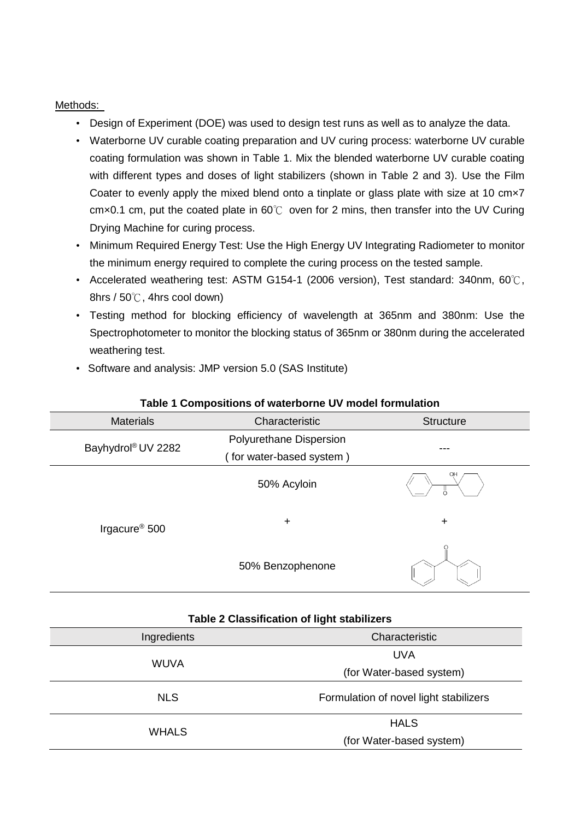## Methods:

- Design of Experiment (DOE) was used to design test runs as well as to analyze the data.
- Waterborne UV curable coating preparation and UV curing process: waterborne UV curable coating formulation was shown in Table 1. Mix the blended waterborne UV curable coating with different types and doses of light stabilizers (shown in Table 2 and 3). Use the Film Coater to evenly apply the mixed blend onto a tinplate or glass plate with size at 10 cm×7 cm×0.1 cm, put the coated plate in 60℃ oven for 2 mins, then transfer into the UV Curing Drying Machine for curing process.
- Minimum Required Energy Test: Use the High Energy UV Integrating Radiometer to monitor the minimum energy required to complete the curing process on the tested sample.
- Accelerated weathering test: ASTM G154-1 (2006 version), Test standard: 340nm, 60℃, 8hrs / 50℃, 4hrs cool down)
- Testing method for blocking efficiency of wavelength at 365nm and 380nm: Use the Spectrophotometer to monitor the blocking status of 365nm or 380nm during the accelerated weathering test.
- Software and analysis: JMP version 5.0 (SAS Institute)

WHALS

| <b>Materials</b>               | Characteristic           | <b>Structure</b>              |  |  |
|--------------------------------|--------------------------|-------------------------------|--|--|
|                                | Polyurethane Dispersion  |                               |  |  |
| Bayhydrol <sup>®</sup> UV 2282 | (for water-based system) | ---                           |  |  |
|                                | 50% Acyloin              | $\circ$<br>$\frac{1}{\alpha}$ |  |  |
| Irgacure <sup>®</sup> 500      | $\ddot{}$                | $\ddot{}$                     |  |  |
|                                | 50% Benzophenone         |                               |  |  |

### **Table 1 Compositions of waterborne UV model formulation**

| Table 2 Classification of light stabilizers |                                        |  |  |
|---------------------------------------------|----------------------------------------|--|--|
| Characteristic<br>Ingredients               |                                        |  |  |
|                                             | UVA                                    |  |  |
| WUVA                                        | (for Water-based system)               |  |  |
| <b>NLS</b>                                  | Formulation of novel light stabilizers |  |  |
|                                             | <b>HALS</b>                            |  |  |

(for Water-based system)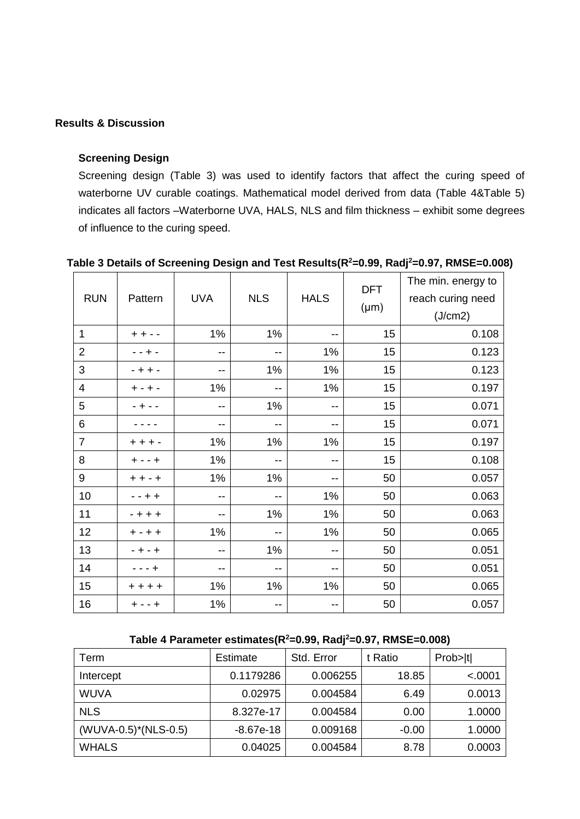## **Results & Discussion**

## **Screening Design**

Screening design [\(Table 3\)](#page-3-0) was used to identify factors that affect the curing speed of waterborne UV curable coatings. Mathematical model derived from data [\(Table 4](#page-3-1)[&Table 5\)](#page-4-0) indicates all factors –Waterborne UVA, HALS, NLS and film thickness – exhibit some degrees of influence to the curing speed.

| <b>RUN</b>       | Pattern          | <b>UVA</b> | <b>NLS</b>        | <b>HALS</b> | <b>DFT</b><br>$(\mu m)$ | The min. energy to<br>reach curing need<br>(J/cm2) |
|------------------|------------------|------------|-------------------|-------------|-------------------------|----------------------------------------------------|
| $\mathbf{1}$     | $+ +$            | 1%         | 1%                | $-$         | 15                      | 0.108                                              |
| $\overline{2}$   |                  | $-$        | $-$               | 1%          | 15                      | 0.123                                              |
| 3                | - +<br>$+ -$     | $-$        | 1%                | 1%          | 15                      | 0.123                                              |
| $\overline{4}$   | $\div$<br>$+ -$  | 1%         | $-$               | 1%          | 15                      | 0.197                                              |
| 5                |                  | $- -$      | 1%                | --          | 15                      | 0.071                                              |
| $\,6$            |                  | $- -$      | --                | $- -$       | 15                      | 0.071                                              |
| $\overline{7}$   | $+ -$<br>$\pm~+$ | 1%         | 1%                | 1%          | 15                      | 0.197                                              |
| 8                | $+ - - +$        | 1%         | $-$               | $-$         | 15                      | 0.108                                              |
| $\boldsymbol{9}$ | $+ + - +$        | 1%         | 1%                | $-$         | 50                      | 0.057                                              |
| 10               | $- + +$          | $- -$      | $-$               | 1%          | 50                      | 0.063                                              |
| 11               | $- + + +$        | $- -$      | 1%                | 1%          | 50                      | 0.063                                              |
| 12               | $+ - + +$        | 1%         | $- -$             | 1%          | 50                      | 0.065                                              |
| 13               | $- + - +$        | $- -$      | 1%                | $-$         | 50                      | 0.051                                              |
| 14               | - +              | --         | $- -$             | --          | 50                      | 0.051                                              |
| 15               | $+ + + +$        | 1%         | 1%                | 1%          | 50                      | 0.065                                              |
| 16               | $+ - - +$        | $1\%$      | $\qquad \qquad -$ | $- -$       | 50                      | 0.057                                              |

#### <span id="page-3-0"></span>**Table 3 Details of Screening Design and Test Results(R<sup>2</sup>=0.99, Radj<sup>2</sup>=0.97, RMSE=0.008)**

## **Table 4 Parameter estimates(R<sup>2</sup>=0.99, Radj<sup>2</sup>=0.97, RMSE=0.008)**

<span id="page-3-1"></span>

| Term                 | Estimate    | Std. Error | t Ratio | Prob> t |
|----------------------|-------------|------------|---------|---------|
| Intercept            | 0.1179286   | 0.006255   | 18.85   | < .0001 |
| <b>WUVA</b>          | 0.02975     | 0.004584   | 6.49    | 0.0013  |
| <b>NLS</b>           | 8.327e-17   | 0.004584   | 0.00    | 1.0000  |
| (WUVA-0.5)*(NLS-0.5) | $-8.67e-18$ | 0.009168   | $-0.00$ | 1.0000  |
| <b>WHALS</b>         | 0.04025     | 0.004584   | 8.78    | 0.0003  |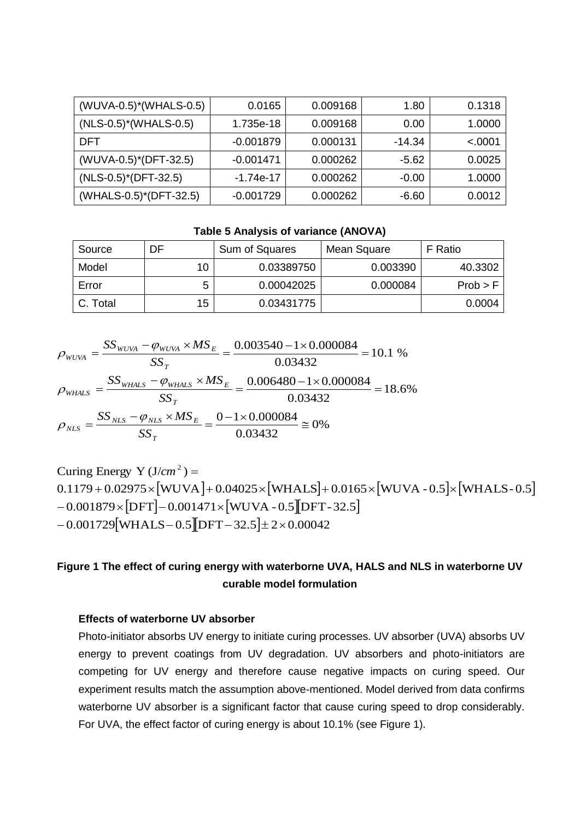| $(WUVA-0.5)*(WHALS-0.5)$             | 0.0165      | 0.009168 | 1.80     | 0.1318  |
|--------------------------------------|-------------|----------|----------|---------|
| $(NLS-0.5)$ <sup>*</sup> (WHALS-0.5) | 1.735e-18   | 0.009168 | 0.00     | 1.0000  |
| <b>DFT</b>                           | $-0.001879$ | 0.000131 | $-14.34$ | < .0001 |
| (WUVA-0.5)*(DFT-32.5)                | $-0.001471$ | 0.000262 | $-5.62$  | 0.0025  |
| $(NLS-0.5)$ <sup>*</sup> (DFT-32.5)  | $-1.74e-17$ | 0.000262 | $-0.00$  | 1.0000  |
| (WHALS-0.5)*(DFT-32.5)               | $-0.001729$ | 0.000262 | $-6.60$  | 0.0012  |

**Table 5 Analysis of variance (ANOVA)**

<span id="page-4-0"></span>

| Source   | DF | Sum of Squares | Mean Square | F Ratio  |
|----------|----|----------------|-------------|----------|
| Model    | 10 | 0.03389750     | 0.003390    | 40.3302  |
| Error    |    | 0.00042025     | 0.000084    | Prob > F |
| C. Total | 15 | 0.03431775     |             | 0.0004   |

0% 0.03432 0 1 0.000084 18.6% 0.03432  $=\frac{0.006480-1\times0.000084}{0.0000084}=$ 10.1 % 0.03432  $=\frac{0.003540-1\times 0.000084}{0.0000084}=$  $-\varphi_{NIS}$  ×  $=$  $-\varphi_{_{WHALS}}$  ×  $=$  $-\varphi_{\text{WIVA}} \times$  $=$ *SS*  $SS_{NIS} - \varphi_{NIS} \times MS$ *SS*  $SS_{wHALS} - \varphi_{wHALS} \times MS$ *SS*  $SS_{WUVA} - \varphi_{WUVA} \times MS$ *T*  $_{NLS}$   $-\varphi_{NLS}$   $\wedge$  *IVIS*  $_E$ *NLS T WHALS*  $-\psi_{\text{WHALS}} \wedge \psi$ *WHALS T*  $WUVA$   $\sim$   $WUVA$   $\sim$   $WLO$ <sub>E</sub> *WUVA*  $\varphi$  $\rho$  $\varphi$  $\rho$  $\varphi$  $\rho$ 

 $0.1179 + 0.02975 \times \text{[WUVA]} + 0.04025 \times \text{[WHALS]} + 0.0165 \times \text{[WUVA - 0.5]} \times \text{[WHALS - 0.5]}$  $-0.001879\times[\mathrm{DFT}] - 0.001471\times[\mathrm{WUVA}$  -  $0.5]\mathrm{DFT}$  - 32.5]  $-0.001729$  WHALS  $-0.5$  DFT  $-32.5$   $\pm 2\times 0.00042$ Curing Energy Y  $(J/cm^2)$  =

## <span id="page-4-1"></span>**Figure 1 The effect of curing energy with waterborne UVA, HALS and NLS in waterborne UV curable model formulation**

#### **Effects of waterborne UV absorber**

Photo-initiator absorbs UV energy to initiate curing processes. UV absorber (UVA) absorbs UV energy to prevent coatings from UV degradation. UV absorbers and photo-initiators are competing for UV energy and therefore cause negative impacts on curing speed. Our experiment results match the assumption above-mentioned. Model derived from data confirms waterborne UV absorber is a significant factor that cause curing speed to drop considerably. For UVA, the effect factor of curing energy is about 10.1% (see [Figure 1\)](#page-4-1).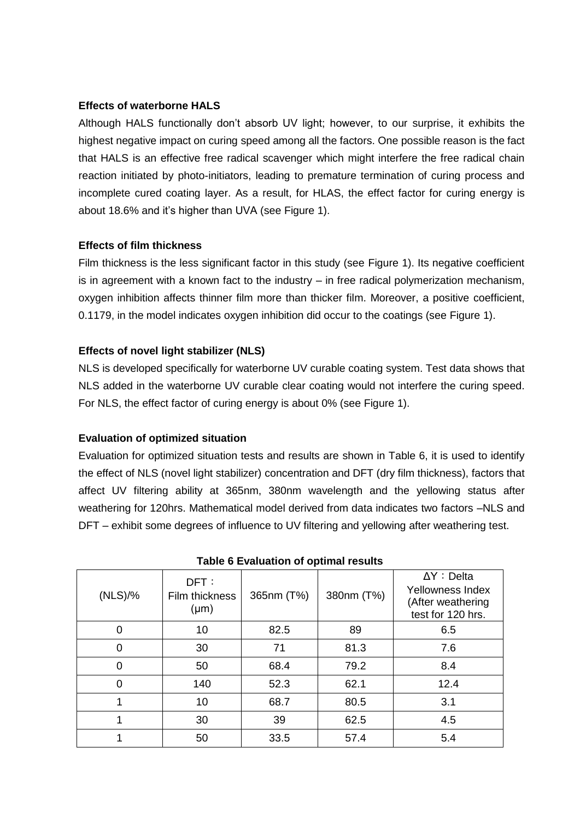## **Effects of waterborne HALS**

Although HALS functionally don't absorb UV light; however, to our surprise, it exhibits the highest negative impact on curing speed among all the factors. One possible reason is the fact that HALS is an effective free radical scavenger which might interfere the free radical chain reaction initiated by photo-initiators, leading to premature termination of curing process and incomplete cured coating layer. As a result, for HLAS, the effect factor for curing energy is about 18.6% and it's higher than UVA (see [Figure 1\)](#page-4-1).

## **Effects of film thickness**

Film thickness is the less significant factor in this study (see [Figure 1\)](#page-4-1). Its negative coefficient is in agreement with a known fact to the industry – in free radical polymerization mechanism, oxygen inhibition affects thinner film more than thicker film. Moreover, a positive coefficient, 0.1179, in the model indicates oxygen inhibition did occur to the coatings (see [Figure 1\)](#page-4-1).

## **Effects of novel light stabilizer (NLS)**

NLS is developed specifically for waterborne UV curable coating system. Test data shows that NLS added in the waterborne UV curable clear coating would not interfere the curing speed. For NLS, the effect factor of curing energy is about 0% (see [Figure 1\)](#page-4-1).

## **Evaluation of optimized situation**

Evaluation for optimized situation tests and results are shown in [Table 6,](#page-5-0) it is used to identify the effect of NLS (novel light stabilizer) concentration and DFT (dry film thickness), factors that affect UV filtering ability at 365nm, 380nm wavelength and the yellowing status after weathering for 120hrs. Mathematical model derived from data indicates two factors –NLS and DFT – exhibit some degrees of influence to UV filtering and yellowing after weathering test.

<span id="page-5-0"></span>

| (NLS)/%  | DFT:<br>Film thickness<br>$(\mu m)$ | 365nm (T%) | 380nm (T%) | $\Delta Y :$ Delta<br>Yellowness Index<br>(After weathering<br>test for 120 hrs. |  |
|----------|-------------------------------------|------------|------------|----------------------------------------------------------------------------------|--|
| O        | 10                                  | 82.5       | 89         | 6.5                                                                              |  |
| 0        | 30                                  | 71         | 81.3       | 7.6                                                                              |  |
| $\Omega$ | 50                                  | 68.4       | 79.2       | 8.4                                                                              |  |
| 0        | 140                                 | 52.3       | 62.1       | 12.4                                                                             |  |
|          | 10                                  | 68.7       | 80.5       | 3.1                                                                              |  |
|          | 30                                  | 39         | 62.5       | 4.5                                                                              |  |
|          | 50                                  | 33.5       | 57.4       | 5.4                                                                              |  |

**Table 6 Evaluation of optimal results**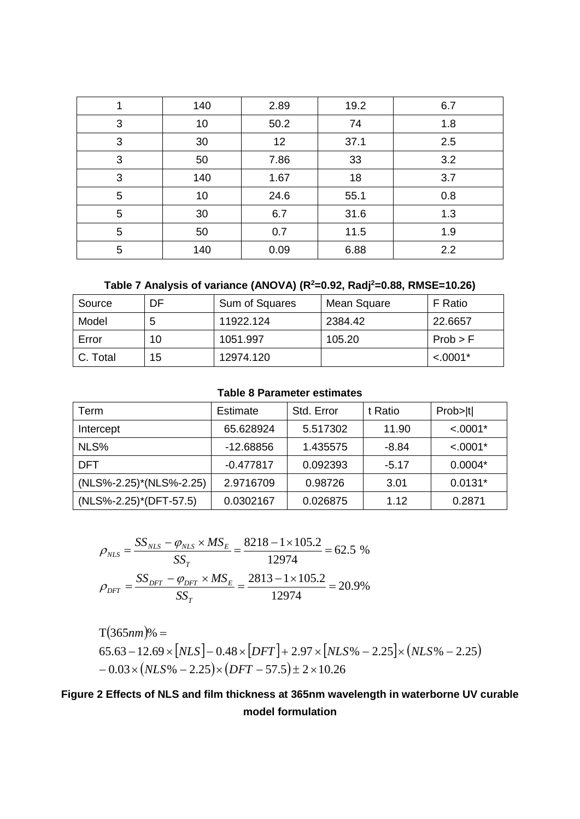|   | 140 | 2.89 | 19.2 | 6.7 |
|---|-----|------|------|-----|
| 3 | 10  | 50.2 | 74   | 1.8 |
| 3 | 30  | 12   | 37.1 | 2.5 |
| 3 | 50  | 7.86 | 33   | 3.2 |
| 3 | 140 | 1.67 | 18   | 3.7 |
| 5 | 10  | 24.6 | 55.1 | 0.8 |
| 5 | 30  | 6.7  | 31.6 | 1.3 |
| 5 | 50  | 0.7  | 11.5 | 1.9 |
| 5 | 140 | 0.09 | 6.88 | 2.2 |

```
Table 7 Analysis of variance (ANOVA) (R2=0.92, Radj2=0.88, RMSE=10.26)
```

| Source   | DF | Sum of Squares | Mean Square | F Ratio    |
|----------|----|----------------|-------------|------------|
| Model    |    | 11922.124      | 2384.42     | 22.6657    |
| Error    | 10 | 1051.997       | 105.20      | Prob > F   |
| C. Total | 15 | 12974.120      |             | $< .0001*$ |

## **Table 8 Parameter estimates**

| Term                    | <b>Estimate</b> | Std. Error | t Ratio | Prob> t    |
|-------------------------|-----------------|------------|---------|------------|
| Intercept               | 65.628924       | 5.517302   | 11.90   | $< .0001*$ |
| NLS%                    | $-12.68856$     | 1.435575   | $-8.84$ | $< .0001*$ |
| DFT                     | $-0.477817$     | 0.092393   | $-5.17$ | $0.0004*$  |
| (NLS%-2.25)*(NLS%-2.25) | 2.9716709       | 0.98726    | 3.01    | $0.0131*$  |
| (NLS%-2.25)*(DFT-57.5)  | 0.0302167       | 0.026875   | 1.12    | 0.2871     |

$$
\rho_{NLS} = \frac{SS_{NLS} - \varphi_{NLS} \times MS_E}{SS_T} = \frac{8218 - 1 \times 105.2}{12974} = 62.5 \%
$$

$$
\rho_{DFT} = \frac{SS_{DFT} - \varphi_{DFT} \times MS_E}{SS_T} = \frac{2813 - 1 \times 105.2}{12974} = 20.9\%
$$

T(365nm)% =  $65.63 - 12.69 \times |NLS| - 0.48 \times |DFT| + 2.97 \times |NLS\%| - 2.25| \times (NLS\% - 2.25)$  $-0.03 \times (NLS\% - 2.25) \times (DFT - 57.5) \pm 2 \times 10.26$ 

# <span id="page-6-0"></span>**Figure 2 Effects of NLS and film thickness at 365nm wavelength in waterborne UV curable model formulation**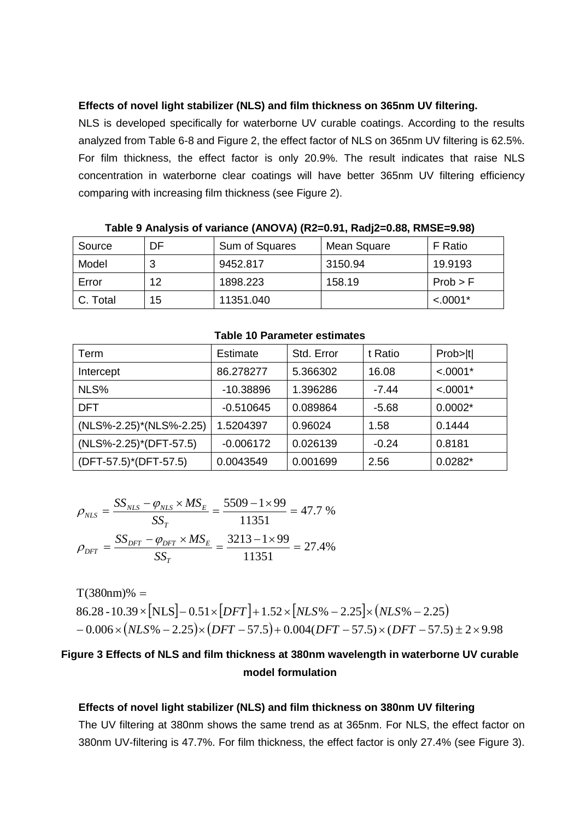#### **Effects of novel light stabilizer (NLS) and film thickness on 365nm UV filtering.**

NLS is developed specifically for waterborne UV curable coatings. According to the results analyzed from Table 6-8 and Figure 2, the effect factor of NLS on 365nm UV filtering is 62.5%. For film thickness, the effect factor is only 20.9%. The result indicates that raise NLS concentration in waterborne clear coatings will have better 365nm UV filtering efficiency comparing with increasing film thickness (see [Figure 2\)](#page-6-0).

| Source     | DF | Sum of Squares | Mean Square | F Ratio    |  |  |
|------------|----|----------------|-------------|------------|--|--|
| Model      |    | 9452.817       | 3150.94     | 19.9193    |  |  |
| Error      | 12 | 1898.223       | 158.19      | Prob > F   |  |  |
| l C. Total | 15 | 11351.040      |             | $< .0001*$ |  |  |

**Table 9 Analysis of variance (ANOVA) (R2=0.91, Radj2=0.88, RMSE=9.98)**

|  |  | <b>Table 10 Parameter estimates</b> |  |
|--|--|-------------------------------------|--|
|--|--|-------------------------------------|--|

| Term                    | <b>Estimate</b> | Std. Error | t Ratio | Prob> t    |
|-------------------------|-----------------|------------|---------|------------|
| Intercept               | 86.278277       | 5.366302   | 16.08   | $< .0001*$ |
| NLS%                    | -10.38896       | 1.396286   | $-7.44$ | $< .0001*$ |
| DFT                     | $-0.510645$     | 0.089864   | $-5.68$ | $0.0002*$  |
| (NLS%-2.25)*(NLS%-2.25) | 1.5204397       | 0.96024    | 1.58    | 0.1444     |
| (NLS%-2.25)*(DFT-57.5)  | $-0.006172$     | 0.026139   | $-0.24$ | 0.8181     |
| (DFT-57.5)*(DFT-57.5)   | 0.0043549       | 0.001699   | 2.56    | $0.0282*$  |

$$
\rho_{NLS} = \frac{SS_{NLS} - \varphi_{NLS} \times MS_E}{SS_T} = \frac{5509 - 1 \times 99}{11351} = 47.7 \%
$$

$$
\rho_{DFT} = \frac{SS_{DFT} - \varphi_{DFT} \times MS_E}{SS_T} = \frac{3213 - 1 \times 99}{11351} = 27.4\%
$$

 $86.28 - 10.39 \times \text{NLS} - 0.51 \times \text{DFT} + 1.52 \times \text{NLS} - 2.25 \times \text{NLS} - 2.25$  $-0.006\times(NLS\% - 2.25)\times(DFT - 57.5) + 0.004(DFT - 57.5)\times(DFT - 57.5) \pm 2\times9.98$  $T(380nm)\% =$ 

# <span id="page-7-0"></span>**Figure 3 Effects of NLS and film thickness at 380nm wavelength in waterborne UV curable model formulation**

#### **Effects of novel light stabilizer (NLS) and film thickness on 380nm UV filtering**

The UV filtering at 380nm shows the same trend as at 365nm. For NLS, the effect factor on 380nm UV-filtering is 47.7%. For film thickness, the effect factor is only 27.4% (see [Figure 3\)](#page-7-0).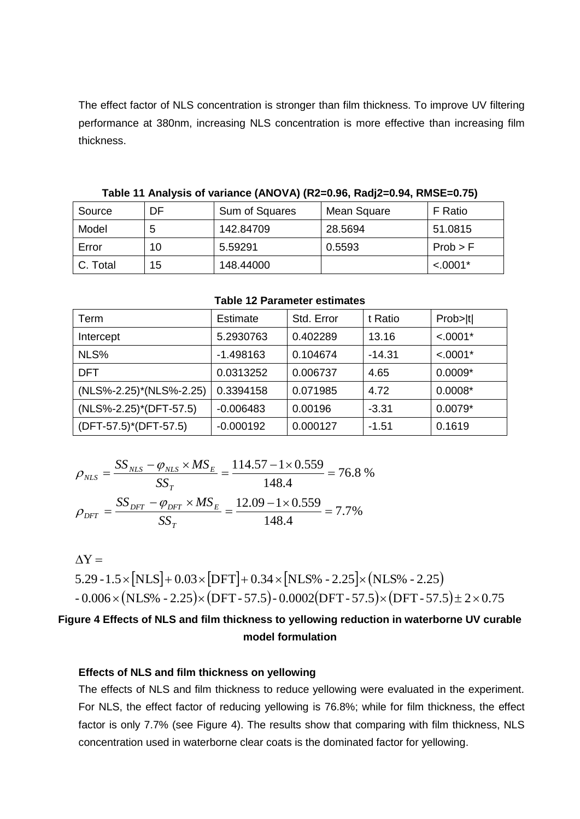The effect factor of NLS concentration is stronger than film thickness. To improve UV filtering performance at 380nm, increasing NLS concentration is more effective than increasing film thickness.

| Source   | DF | Sum of Squares | Mean Square | F Ratio    |  |  |  |
|----------|----|----------------|-------------|------------|--|--|--|
| Model    |    | 142.84709      | 28.5694     | 51.0815    |  |  |  |
| Error    | 10 | 5.59291        | 0.5593      | Prob > F   |  |  |  |
| C. Total | 15 | 148,44000      |             | $< .0001*$ |  |  |  |

**Table 11 Analysis of variance (ANOVA) (R2=0.96, Radj2=0.94, RMSE=0.75)**

| Term                    | <b>Estimate</b> | Std. Error | t Ratio  | Prob> t    |
|-------------------------|-----------------|------------|----------|------------|
| Intercept               | 5.2930763       | 0.402289   | 13.16    | $< .0001*$ |
| NLS%                    | -1.498163       | 0.104674   | $-14.31$ | $< .0001*$ |
| DFT                     | 0.0313252       | 0.006737   | 4.65     | $0.0009*$  |
| (NLS%-2.25)*(NLS%-2.25) | 0.3394158       | 0.071985   | 4.72     | $0.0008*$  |
| (NLS%-2.25)*(DFT-57.5)  | $-0.006483$     | 0.00196    | $-3.31$  | $0.0079*$  |
| (DFT-57.5)*(DFT-57.5)   | $-0.000192$     | 0.000127   | -1.51    | 0.1619     |

**Table 12 Parameter estimates**

$$
\rho_{NLS} = \frac{SS_{NLS} - \varphi_{NLS} \times MS_E}{SS_T} = \frac{114.57 - 1 \times 0.559}{148.4} = 76.8 \%
$$

$$
\rho_{DFT} = \frac{SS_{DFT} - \varphi_{DFT} \times MS_E}{SS_T} = \frac{12.09 - 1 \times 0.559}{148.4} = 7.7\%
$$

 $5.29 - 1.5 \times \text{NLS} + 0.03 \times \text{DFT} + 0.34 \times \text{NLS}\% - 2.25 \times \text{NLS}\% - 2.25$ -  $0.006\times(\mathrm{NLS\%}$  -  $2.25)\times(\mathrm{DFT}$  - 57.5)-  $0.0002(\mathrm{DFT}$  - 57.5) $\times(\mathrm{DFT}$  - 57.5) $\pm$  2  $\times$  0.75  $\Delta Y =$ 

# <span id="page-8-0"></span>**Figure 4 Effects of NLS and film thickness to yellowing reduction in waterborne UV curable model formulation**

### **Effects of NLS and film thickness on yellowing**

The effects of NLS and film thickness to reduce yellowing were evaluated in the experiment. For NLS, the effect factor of reducing yellowing is 76.8%; while for film thickness, the effect factor is only 7.7% (see [Figure 4\)](#page-8-0). The results show that comparing with film thickness, NLS concentration used in waterborne clear coats is the dominated factor for yellowing.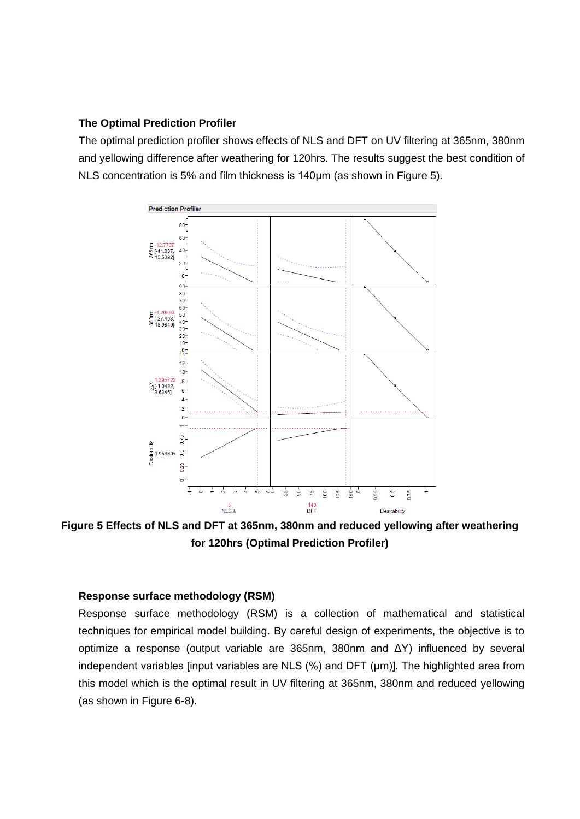#### **The Optimal Prediction Profiler**

The optimal prediction profiler shows effects of NLS and DFT on UV filtering at 365nm, 380nm and yellowing difference after weathering for 120hrs. The results suggest the best condition of NLS concentration is 5% and film thickness is 140μm (as shown in [Figure 5\)](#page-9-0).



<span id="page-9-0"></span>**Figure 5 Effects of NLS and DFT at 365nm, 380nm and reduced yellowing after weathering for 120hrs (Optimal Prediction Profiler)**

#### **Response surface methodology (RSM)**

Response surface methodology (RSM) is a collection of mathematical and statistical techniques for empirical model building. By careful design of experiments, the objective is to optimize a response (output variable are 365nm, 380nm and ΔY) influenced by several independent variables [input variables are NLS (%) and DFT (μm)]. The highlighted area from this model which is the optimal result in UV filtering at 365nm, 380nm and reduced yellowing (as shown in Figure 6-8).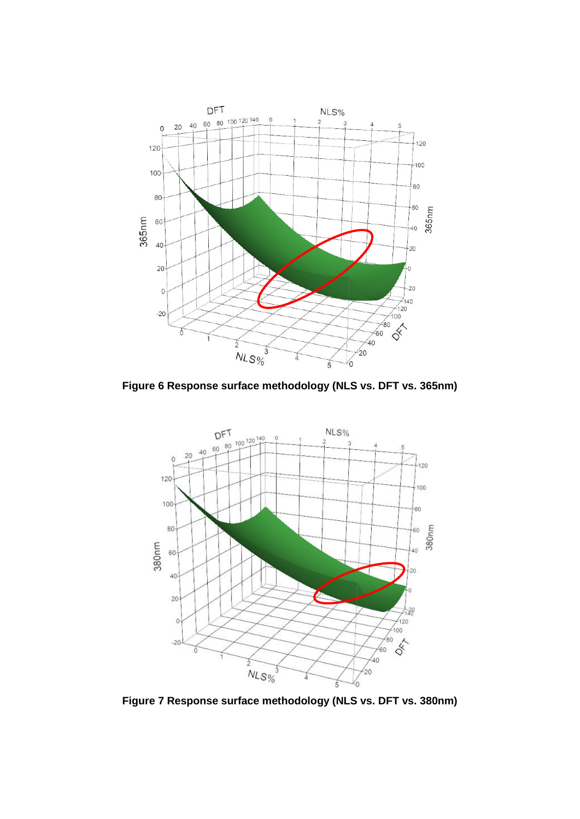

**Figure 6 Response surface methodology (NLS vs. DFT vs. 365nm)**



**Figure 7 Response surface methodology (NLS vs. DFT vs. 380nm)**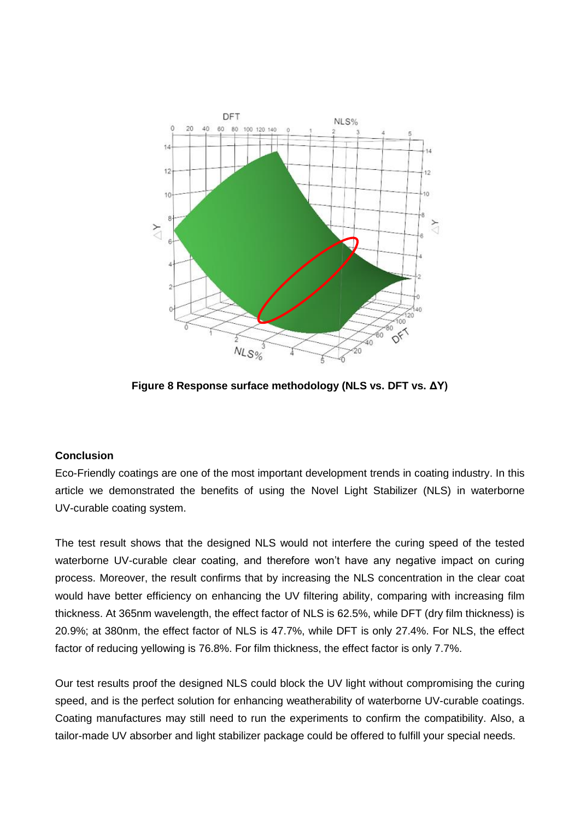

**Figure 8 Response surface methodology (NLS vs. DFT vs. ΔY)**

## **Conclusion**

Eco-Friendly coatings are one of the most important development trends in coating industry. In this article we demonstrated the benefits of using the Novel Light Stabilizer (NLS) in waterborne UV-curable coating system.

The test result shows that the designed NLS would not interfere the curing speed of the tested waterborne UV-curable clear coating, and therefore won't have any negative impact on curing process. Moreover, the result confirms that by increasing the NLS concentration in the clear coat would have better efficiency on enhancing the UV filtering ability, comparing with increasing film thickness. At 365nm wavelength, the effect factor of NLS is 62.5%, while DFT (dry film thickness) is 20.9%; at 380nm, the effect factor of NLS is 47.7%, while DFT is only 27.4%. For NLS, the effect factor of reducing yellowing is 76.8%. For film thickness, the effect factor is only 7.7%.

Our test results proof the designed NLS could block the UV light without compromising the curing speed, and is the perfect solution for enhancing weatherability of waterborne UV-curable coatings. Coating manufactures may still need to run the experiments to confirm the compatibility. Also, a tailor-made UV absorber and light stabilizer package could be offered to fulfill your special needs.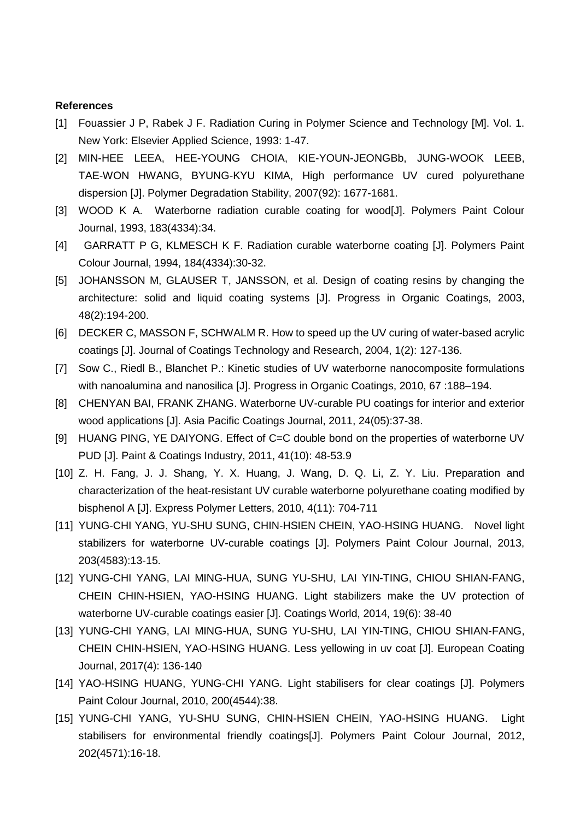#### **References**

- [1] Fouassier J P, Rabek J F. Radiation Curing in Polymer Science and Technology [M]. Vol. 1. New York: Elsevier Applied Science, 1993: 1-47.
- [2] MIN-HEE LEEA, HEE-YOUNG CHOIA, KIE-YOUN-JEONGBb, JUNG-WOOK LEEB, TAE-WON HWANG, BYUNG-KYU KIMA, High performance UV cured polyurethane dispersion [J]. Polymer Degradation Stability, 2007(92): 1677-1681.
- [3] WOOD K A. Waterborne radiation curable coating for wood[J]. Polymers Paint Colour Journal, 1993, 183(4334):34.
- [4] GARRATT P G, KLMESCH K F. Radiation curable waterborne coating [J]. Polymers Paint Colour Journal, 1994, 184(4334):30-32.
- [5] JOHANSSON M, GLAUSER T, JANSSON, et al. Design of coating resins by changing the architecture: solid and liquid coating systems [J]. Progress in Organic Coatings, 2003, 48(2):194-200.
- [6] DECKER C, MASSON F, SCHWALM R. How to speed up the UV curing of water-based acrylic coatings [J]. Journal of Coatings Technology and Research, 2004, 1(2): 127-136.
- [7] Sow C., Riedl B., Blanchet P.: Kinetic studies of UV waterborne nanocomposite formulations with nanoalumina and nanosilica [J]. Progress in Organic Coatings, 2010, 67 :188–194.
- [8] CHENYAN BAI, FRANK ZHANG. Waterborne UV-curable PU coatings for interior and exterior wood applications [J]. Asia Pacific Coatings Journal, 2011, 24(05):37-38.
- [9] HUANG PING, YE DAIYONG. Effect of C=C double bond on the properties of waterborne UV PUD [J]. Paint & Coatings Industry, 2011, 41(10): 48-53.9
- [10] Z. H. Fang, J. J. Shang, Y. X. Huang, J. Wang, D. Q. Li, Z. Y. Liu. Preparation and characterization of the heat-resistant UV curable waterborne polyurethane coating modified by bisphenol A [J]. Express Polymer Letters, 2010, 4(11): 704-711
- [11] YUNG-CHI YANG, YU-SHU SUNG, CHIN-HSIEN CHEIN, YAO-HSING HUANG. Novel light stabilizers for waterborne UV-curable coatings [J]. Polymers Paint Colour Journal, 2013, 203(4583):13-15.
- [12] YUNG-CHI YANG, LAI MING-HUA, SUNG YU-SHU, LAI YIN-TING, CHIOU SHIAN-FANG, CHEIN CHIN-HSIEN, YAO-HSING HUANG. Light stabilizers make the UV protection of waterborne UV-curable coatings easier [J]. Coatings World, 2014, 19(6): 38-40
- [13] YUNG-CHI YANG, LAI MING-HUA, SUNG YU-SHU, LAI YIN-TING, CHIOU SHIAN-FANG, CHEIN CHIN-HSIEN, YAO-HSING HUANG. Less yellowing in uv coat [J]. European Coating Journal, 2017(4): 136-140
- [14] YAO-HSING HUANG, YUNG-CHI YANG. Light stabilisers for clear coatings [J]. Polymers Paint Colour Journal, 2010, 200(4544):38.
- [15] YUNG-CHI YANG, YU-SHU SUNG, CHIN-HSIEN CHEIN, YAO-HSING HUANG. Light stabilisers for environmental friendly coatings[J]. Polymers Paint Colour Journal, 2012, 202(4571):16-18.